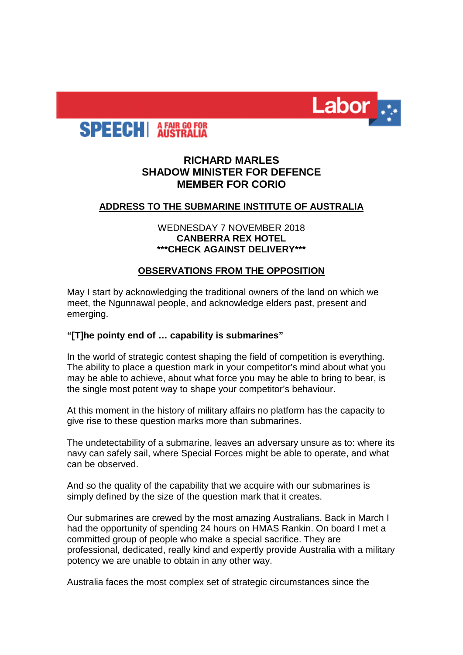



# **RICHARD MARLES SHADOW MINISTER FOR DEFENCE MEMBER FOR CORIO**

# **ADDRESS TO THE SUBMARINE INSTITUTE OF AUSTRALIA**

# WEDNESDAY 7 NOVEMBER 2018 **CANBERRA REX HOTEL \*\*\*CHECK AGAINST DELIVERY\*\*\***

# **OBSERVATIONS FROM THE OPPOSITION**

May I start by acknowledging the traditional owners of the land on which we meet, the Ngunnawal people, and acknowledge elders past, present and emerging.

### **"[T]he pointy end of … capability is submarines"**

In the world of strategic contest shaping the field of competition is everything. The ability to place a question mark in your competitor's mind about what you may be able to achieve, about what force you may be able to bring to bear, is the single most potent way to shape your competitor's behaviour.

At this moment in the history of military affairs no platform has the capacity to give rise to these question marks more than submarines.

The undetectability of a submarine, leaves an adversary unsure as to: where its navy can safely sail, where Special Forces might be able to operate, and what can be observed.

And so the quality of the capability that we acquire with our submarines is simply defined by the size of the question mark that it creates.

Our submarines are crewed by the most amazing Australians. Back in March I had the opportunity of spending 24 hours on HMAS Rankin. On board I met a committed group of people who make a special sacrifice. They are professional, dedicated, really kind and expertly provide Australia with a military potency we are unable to obtain in any other way.

Australia faces the most complex set of strategic circumstances since the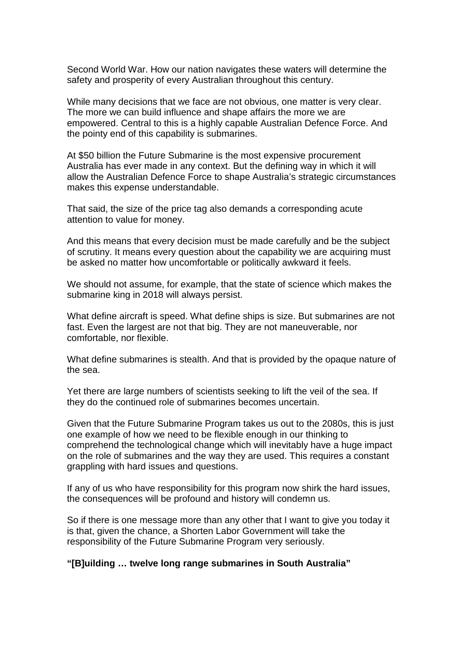Second World War. How our nation navigates these waters will determine the safety and prosperity of every Australian throughout this century.

While many decisions that we face are not obvious, one matter is very clear. The more we can build influence and shape affairs the more we are empowered. Central to this is a highly capable Australian Defence Force. And the pointy end of this capability is submarines.

At \$50 billion the Future Submarine is the most expensive procurement Australia has ever made in any context. But the defining way in which it will allow the Australian Defence Force to shape Australia's strategic circumstances makes this expense understandable.

That said, the size of the price tag also demands a corresponding acute attention to value for money.

And this means that every decision must be made carefully and be the subject of scrutiny. It means every question about the capability we are acquiring must be asked no matter how uncomfortable or politically awkward it feels.

We should not assume, for example, that the state of science which makes the submarine king in 2018 will always persist.

What define aircraft is speed. What define ships is size. But submarines are not fast. Even the largest are not that big. They are not maneuverable, nor comfortable, nor flexible.

What define submarines is stealth. And that is provided by the opaque nature of the sea.

Yet there are large numbers of scientists seeking to lift the veil of the sea. If they do the continued role of submarines becomes uncertain.

Given that the Future Submarine Program takes us out to the 2080s, this is just one example of how we need to be flexible enough in our thinking to comprehend the technological change which will inevitably have a huge impact on the role of submarines and the way they are used. This requires a constant grappling with hard issues and questions.

If any of us who have responsibility for this program now shirk the hard issues, the consequences will be profound and history will condemn us.

So if there is one message more than any other that I want to give you today it is that, given the chance, a Shorten Labor Government will take the responsibility of the Future Submarine Program very seriously.

**"[B]uilding … twelve long range submarines in South Australia"**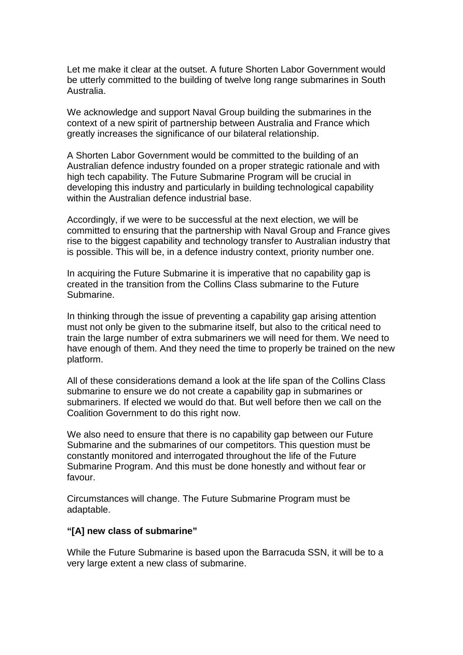Let me make it clear at the outset. A future Shorten Labor Government would be utterly committed to the building of twelve long range submarines in South Australia.

We acknowledge and support Naval Group building the submarines in the context of a new spirit of partnership between Australia and France which greatly increases the significance of our bilateral relationship.

A Shorten Labor Government would be committed to the building of an Australian defence industry founded on a proper strategic rationale and with high tech capability. The Future Submarine Program will be crucial in developing this industry and particularly in building technological capability within the Australian defence industrial base.

Accordingly, if we were to be successful at the next election, we will be committed to ensuring that the partnership with Naval Group and France gives rise to the biggest capability and technology transfer to Australian industry that is possible. This will be, in a defence industry context, priority number one.

In acquiring the Future Submarine it is imperative that no capability gap is created in the transition from the Collins Class submarine to the Future Submarine.

In thinking through the issue of preventing a capability gap arising attention must not only be given to the submarine itself, but also to the critical need to train the large number of extra submariners we will need for them. We need to have enough of them. And they need the time to properly be trained on the new platform.

All of these considerations demand a look at the life span of the Collins Class submarine to ensure we do not create a capability gap in submarines or submariners. If elected we would do that. But well before then we call on the Coalition Government to do this right now.

We also need to ensure that there is no capability gap between our Future Submarine and the submarines of our competitors. This question must be constantly monitored and interrogated throughout the life of the Future Submarine Program. And this must be done honestly and without fear or favour.

Circumstances will change. The Future Submarine Program must be adaptable.

#### **"[A] new class of submarine"**

While the Future Submarine is based upon the Barracuda SSN, it will be to a very large extent a new class of submarine.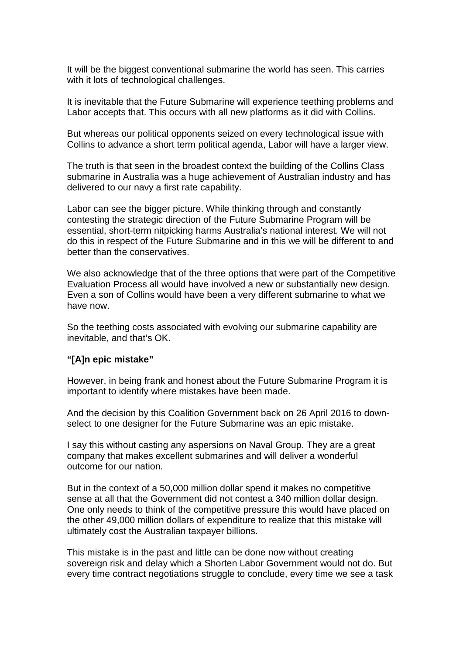It will be the biggest conventional submarine the world has seen. This carries with it lots of technological challenges.

It is inevitable that the Future Submarine will experience teething problems and Labor accepts that. This occurs with all new platforms as it did with Collins.

But whereas our political opponents seized on every technological issue with Collins to advance a short term political agenda, Labor will have a larger view.

The truth is that seen in the broadest context the building of the Collins Class submarine in Australia was a huge achievement of Australian industry and has delivered to our navy a first rate capability.

Labor can see the bigger picture. While thinking through and constantly contesting the strategic direction of the Future Submarine Program will be essential, short-term nitpicking harms Australia's national interest. We will not do this in respect of the Future Submarine and in this we will be different to and better than the conservatives.

We also acknowledge that of the three options that were part of the Competitive Evaluation Process all would have involved a new or substantially new design. Even a son of Collins would have been a very different submarine to what we have now.

So the teething costs associated with evolving our submarine capability are inevitable, and that's OK.

#### **"[A]n epic mistake"**

However, in being frank and honest about the Future Submarine Program it is important to identify where mistakes have been made.

And the decision by this Coalition Government back on 26 April 2016 to downselect to one designer for the Future Submarine was an epic mistake.

I say this without casting any aspersions on Naval Group. They are a great company that makes excellent submarines and will deliver a wonderful outcome for our nation.

But in the context of a 50,000 million dollar spend it makes no competitive sense at all that the Government did not contest a 340 million dollar design. One only needs to think of the competitive pressure this would have placed on the other 49,000 million dollars of expenditure to realize that this mistake will ultimately cost the Australian taxpayer billions.

This mistake is in the past and little can be done now without creating sovereign risk and delay which a Shorten Labor Government would not do. But every time contract negotiations struggle to conclude, every time we see a task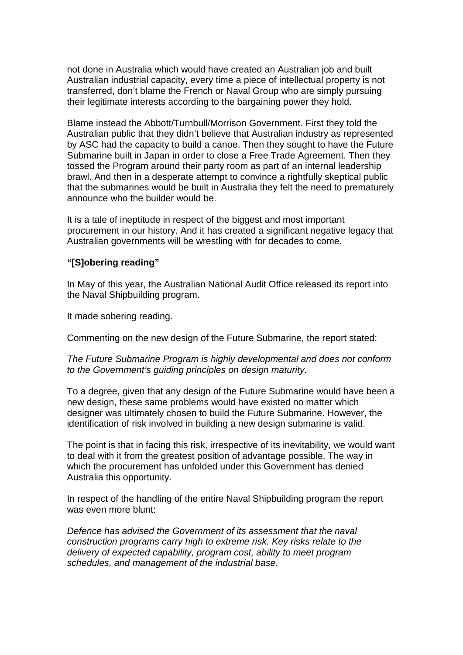not done in Australia which would have created an Australian job and built Australian industrial capacity, every time a piece of intellectual property is not transferred, don't blame the French or Naval Group who are simply pursuing their legitimate interests according to the bargaining power they hold.

Blame instead the Abbott/Turnbull/Morrison Government. First they told the Australian public that they didn't believe that Australian industry as represented by ASC had the capacity to build a canoe. Then they sought to have the Future Submarine built in Japan in order to close a Free Trade Agreement. Then they tossed the Program around their party room as part of an internal leadership brawl. And then in a desperate attempt to convince a rightfully skeptical public that the submarines would be built in Australia they felt the need to prematurely announce who the builder would be.

It is a tale of ineptitude in respect of the biggest and most important procurement in our history. And it has created a significant negative legacy that Australian governments will be wrestling with for decades to come.

# **"[S]obering reading"**

In May of this year, the Australian National Audit Office released its report into the Naval Shipbuilding program.

It made sobering reading.

Commenting on the new design of the Future Submarine, the report stated:

*The Future Submarine Program is highly developmental and does not conform to the Government's guiding principles on design maturity.* 

To a degree, given that any design of the Future Submarine would have been a new design, these same problems would have existed no matter which designer was ultimately chosen to build the Future Submarine. However, the identification of risk involved in building a new design submarine is valid.

The point is that in facing this risk, irrespective of its inevitability, we would want to deal with it from the greatest position of advantage possible. The way in which the procurement has unfolded under this Government has denied Australia this opportunity.

In respect of the handling of the entire Naval Shipbuilding program the report was even more blunt:

*Defence has advised the Government of its assessment that the naval construction programs carry high to extreme risk. Key risks relate to the delivery of expected capability, program cost, ability to meet program schedules, and management of the industrial base.*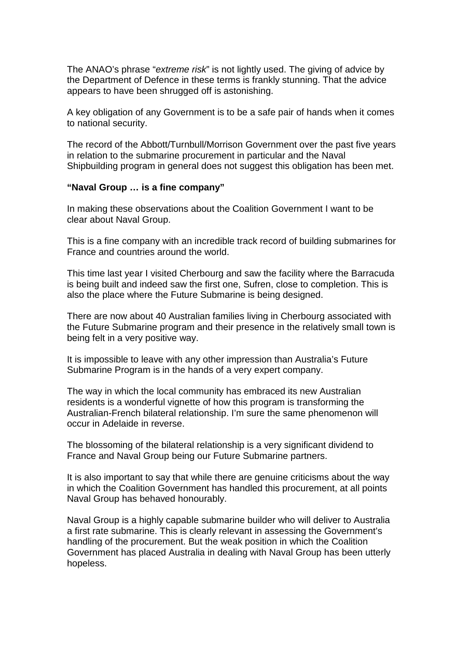The ANAO's phrase "*extreme risk*" is not lightly used. The giving of advice by the Department of Defence in these terms is frankly stunning. That the advice appears to have been shrugged off is astonishing.

A key obligation of any Government is to be a safe pair of hands when it comes to national security.

The record of the Abbott/Turnbull/Morrison Government over the past five years in relation to the submarine procurement in particular and the Naval Shipbuilding program in general does not suggest this obligation has been met.

#### **"Naval Group … is a fine company"**

In making these observations about the Coalition Government I want to be clear about Naval Group.

This is a fine company with an incredible track record of building submarines for France and countries around the world.

This time last year I visited Cherbourg and saw the facility where the Barracuda is being built and indeed saw the first one, Sufren, close to completion. This is also the place where the Future Submarine is being designed.

There are now about 40 Australian families living in Cherbourg associated with the Future Submarine program and their presence in the relatively small town is being felt in a very positive way.

It is impossible to leave with any other impression than Australia's Future Submarine Program is in the hands of a very expert company.

The way in which the local community has embraced its new Australian residents is a wonderful vignette of how this program is transforming the Australian-French bilateral relationship. I'm sure the same phenomenon will occur in Adelaide in reverse.

The blossoming of the bilateral relationship is a very significant dividend to France and Naval Group being our Future Submarine partners.

It is also important to say that while there are genuine criticisms about the way in which the Coalition Government has handled this procurement, at all points Naval Group has behaved honourably.

Naval Group is a highly capable submarine builder who will deliver to Australia a first rate submarine. This is clearly relevant in assessing the Government's handling of the procurement. But the weak position in which the Coalition Government has placed Australia in dealing with Naval Group has been utterly hopeless.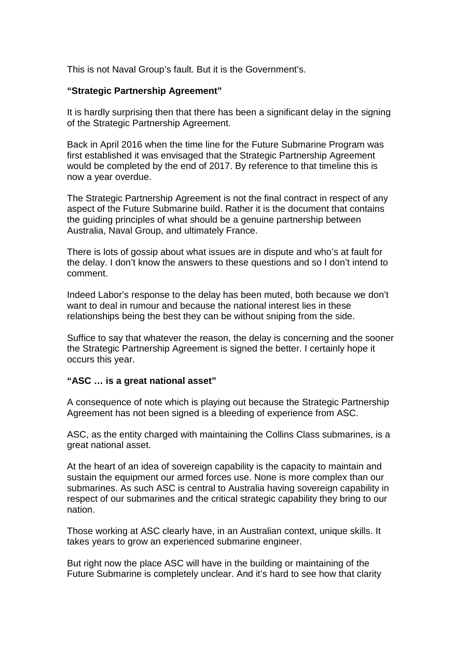This is not Naval Group's fault. But it is the Government's.

# **"Strategic Partnership Agreement"**

It is hardly surprising then that there has been a significant delay in the signing of the Strategic Partnership Agreement.

Back in April 2016 when the time line for the Future Submarine Program was first established it was envisaged that the Strategic Partnership Agreement would be completed by the end of 2017. By reference to that timeline this is now a year overdue.

The Strategic Partnership Agreement is not the final contract in respect of any aspect of the Future Submarine build. Rather it is the document that contains the guiding principles of what should be a genuine partnership between Australia, Naval Group, and ultimately France.

There is lots of gossip about what issues are in dispute and who's at fault for the delay. I don't know the answers to these questions and so I don't intend to comment.

Indeed Labor's response to the delay has been muted, both because we don't want to deal in rumour and because the national interest lies in these relationships being the best they can be without sniping from the side.

Suffice to say that whatever the reason, the delay is concerning and the sooner the Strategic Partnership Agreement is signed the better. I certainly hope it occurs this year.

### **"ASC … is a great national asset"**

A consequence of note which is playing out because the Strategic Partnership Agreement has not been signed is a bleeding of experience from ASC.

ASC, as the entity charged with maintaining the Collins Class submarines, is a great national asset.

At the heart of an idea of sovereign capability is the capacity to maintain and sustain the equipment our armed forces use. None is more complex than our submarines. As such ASC is central to Australia having sovereign capability in respect of our submarines and the critical strategic capability they bring to our nation.

Those working at ASC clearly have, in an Australian context, unique skills. It takes years to grow an experienced submarine engineer.

But right now the place ASC will have in the building or maintaining of the Future Submarine is completely unclear. And it's hard to see how that clarity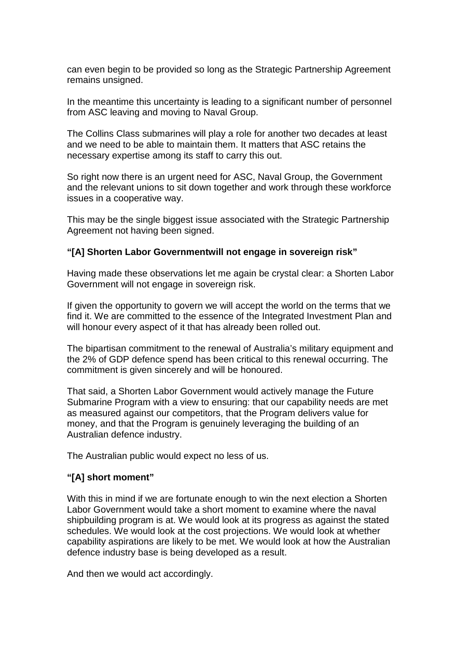can even begin to be provided so long as the Strategic Partnership Agreement remains unsigned.

In the meantime this uncertainty is leading to a significant number of personnel from ASC leaving and moving to Naval Group.

The Collins Class submarines will play a role for another two decades at least and we need to be able to maintain them. It matters that ASC retains the necessary expertise among its staff to carry this out.

So right now there is an urgent need for ASC, Naval Group, the Government and the relevant unions to sit down together and work through these workforce issues in a cooperative way.

This may be the single biggest issue associated with the Strategic Partnership Agreement not having been signed.

### **"[A] Shorten Labor Governmentwill not engage in sovereign risk"**

Having made these observations let me again be crystal clear: a Shorten Labor Government will not engage in sovereign risk.

If given the opportunity to govern we will accept the world on the terms that we find it. We are committed to the essence of the Integrated Investment Plan and will honour every aspect of it that has already been rolled out.

The bipartisan commitment to the renewal of Australia's military equipment and the 2% of GDP defence spend has been critical to this renewal occurring. The commitment is given sincerely and will be honoured.

That said, a Shorten Labor Government would actively manage the Future Submarine Program with a view to ensuring: that our capability needs are met as measured against our competitors, that the Program delivers value for money, and that the Program is genuinely leveraging the building of an Australian defence industry.

The Australian public would expect no less of us.

### **"[A] short moment"**

With this in mind if we are fortunate enough to win the next election a Shorten Labor Government would take a short moment to examine where the naval shipbuilding program is at. We would look at its progress as against the stated schedules. We would look at the cost projections. We would look at whether capability aspirations are likely to be met. We would look at how the Australian defence industry base is being developed as a result.

And then we would act accordingly.